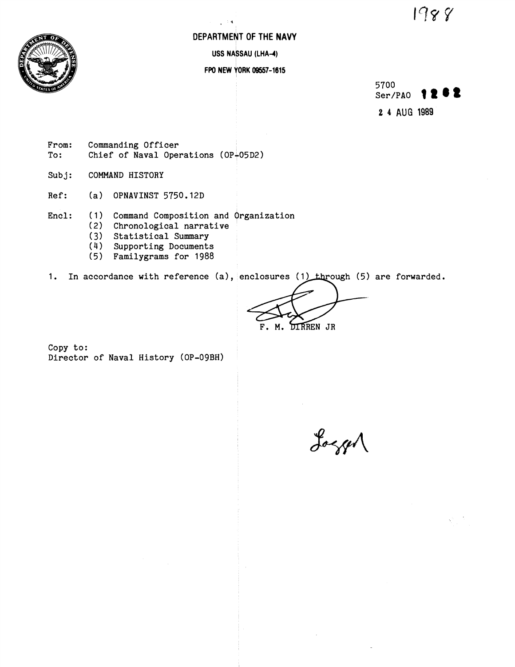1988



# **DEPARTMENT OF THE NAVY**

**9** 

**USS NASSAU (LHA-4)** 

# **FPO NEW YORK 08557-1615**

5700 Ser/PAO  $\bullet$  2  $\bullet$  2 **2 4** AUG **1989** 

**From: Commanding Officer**  Chief of Naval Operations (OP<sub>+</sub>05D2)

**Subj: COMMAND HISTORY** 

**Ref: (a) OPNAVINST 5750.12D** 

**Encl:** ( **1** ) **Command composition and organization** 

- **(2) Chronological narrative** 
	- **(3) Statistical Summary**
	- (4) **Supporting Documents**
	- **(5) Familygrams for 1988**

1. In accordance with reference (a), enclosures (1) through (5) are forwarded.

**DIRREN JR** 

**Copy to: Director of Naval History (OP-09BH)** 

Logger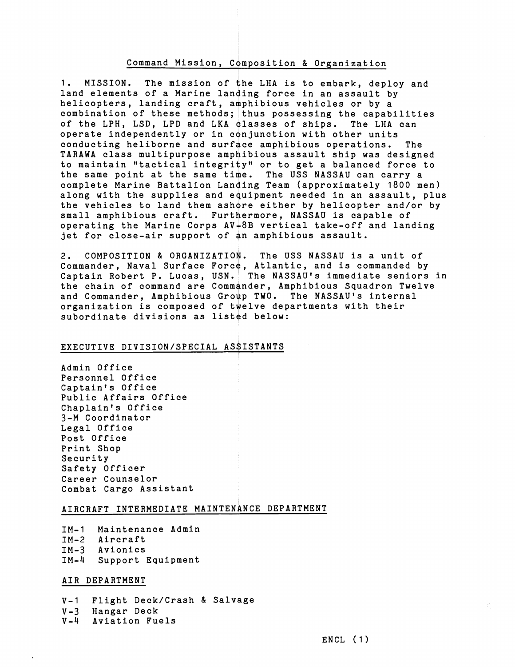#### Command Mission, Composition & Organization

1. MISSION. The mission of the LHA is to embark, deploy and land elements of a Marine landing force in an assault by helicopters, landing craft, amphibious vehicles or by a combination of these methods; thus possessing the capabilities of the LPH, LSD, LPD and LKA classes of ships. The LHA can operate independently or in conjunction with other units conducting heliborne and surface amphibious operations. The TARAWA class multipurpose amphibious assault ship was designed to maintain "tactical integrity" or to get a balanced force to the same point at the same time. The USS NASSAU can carry a complete Marine Battalion Landing Team (approximately 1800 men) along with the supplies and equipment needed in an assault, plus the vehicles to land them ashore either by helicopter and/or by small amphibious craft. Furthermore, NASSAU is capable of operating the Marine Corps AV-8B vertical take-off and landing jet for close-air support of **gn** amphibious assault.

2. COMPOSITION & ORGANIZATION. The USS NASSAU is a unit of Commander, Naval Surface Force, Atlantic, and is commanded by Captain Robert P. Lucas, USN. The NASSAU's immediate seniors in<br>the chain of command are Commander, Amphibious Squadron Twelve<br>and Commander, Amphibious Group TWO. The NASSAU's internal<br>organization is composed of twelve d the chain of command are Commander, Amphibious Squadron Twelve and Commander, Amphibious Group TWO. The NASSAU's internal<br>organization is composed of twelve departments with their subordinate divisions as listed below:

#### EXECUTIVE DIVISION/SPECIAL ASSISTANTS

Admin Office Personnel Office Captain's Office Public Affairs Office Chaplain's Office 3-M Coordinator Legal Office Post Office Print Shop Security Safety Officer Career Counselor Combat Cargo Assistant

#### AIRCRAFT INTERMEDIATE MAINTENANCE DEPARTMENT

IM-1 Maintenance Admin IM-2 Aircraft IM-3 Avionics IM-4 Support Equipment

#### AIR DEPARTMENT

V-1 Flight Deck/Crash & Salvage V-3 Hangar Deck V-4 Aviation Fuels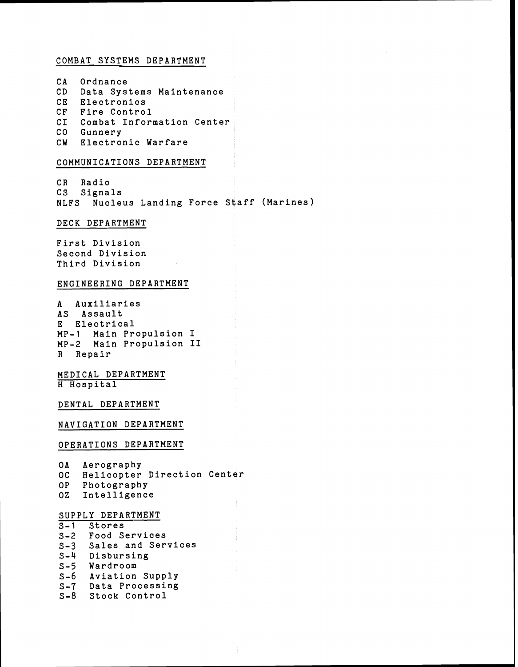## COMBAT SYSTEMS DEPARTMENT

CA Ordnance CD Data Systems Maintenance CE Electronics CF Fire Control CI Combat Information Center CO Gunnery CW Electronic Warfare

## COMMUNICATIONS DEPARTMENT

CR Radio CS Signals NLFS Nucleus Landing Force Staff (Marines)

## DECK DEPARTMENT

First Division Second Division Third Division

## ENGINEERING DEPARTMENT

A Auxiliaries AS Assault E Electrical MP-1 Main Propulsion I MP-2 Main Propulsion I1 R Repair

## MEDICAL DEPARTMENT H Hospital

DENTAL DEPARTMENT

NAVIGATION DEPARTMENT

#### OPERATIONS DEPARTMENT

OA Aerography OC Helicopter Direction Center OP Photography OZ Intelligence

#### SUPPLY DEPARTMENT

S-1 Stores S-2 Food Services S-3 Sales and Services S-4 Disbursing S-5 Wardroom S-6 Aviation Supply S-7 Data Processing S-8 Stock Control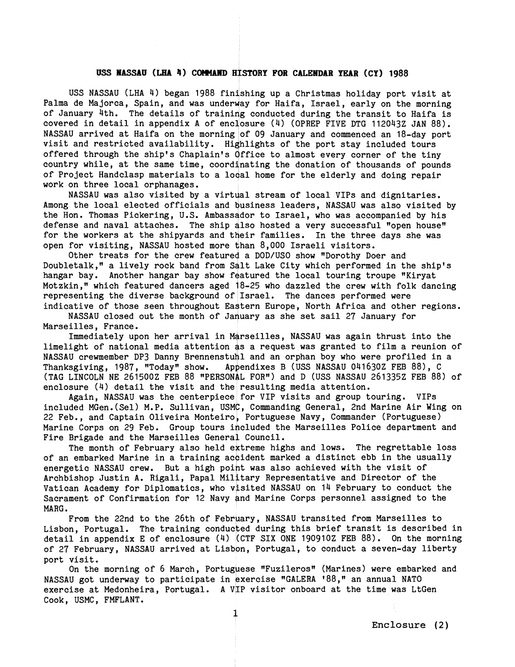#### USS **NASSAU** (LHA 4) COMMAND HISTORY FOR CALENDAR YEAR (CY) 1988

USS NASSAU (LHA 4) began 1988 fin'shing up a Christmas holiday port visit at Palma de Majorca, Spain, and was underway for Haifa, Israel, early on the morning of January 4th. The details of training conducted during the transit to Haifa is covered in detail in appendix A of enclosure  $(4)$  (OPREP FIVE DTG 112043Z JAN 88). NASSAU arrived at Haifa on the morning of 09 January and commenced an 18-day port visit and restricted availability. Highlights of the port stay included tours offered through the ship's Chaplain's Office to almost every c visit and restricted availability. Highlights of the port stay included tours offered through the ship's Chaplain's Office to almost every corner of the tiny country while, at the same time, coordinating the donation of thousands of pounds of Project Handclasp materials to a local home for the elderly and doing repair work on three local orphanages.

NASSAU was also visited by a virtdal stream of local VIPs and dignitaries. Among the local elected officials and business leaders, NASSAU was also visited by the Hon. Thomas Pickering, U.S. Ambassgdor to Israel, who was accompanied by his defense and naval attaches. The ship also hosted a very successful "open house" for the workers at the shipyards and their families. In the three days she was open for visiting, NASSAU hosted more than 8,000 Israeli visitors.

Other treats for the crew featured a DOD/USO show "Dorothy Doer and Doubletalk," a lively rock band from Salt Lake City which performed in the ship's hangar bay. Another hangar bay show featured the local touring troupe "Kiryat Motzkin," which featured dancers aged  $18-25$  who dazzled the crew with folk dancing representing the diverse background of Israel. The dances performed were indicative of those seen throughout Eastern Europe, North Africa and other regions.

NASSAU closed out the month of January as she set sail 27 January for Marseilles, France.

Immediately upon her arrival in Marseilles, NASSAU was again thrust into the limelight of national media attention as a request was granted to film a reunion of NASSAU crewmember DP3 Danny Brennenstuhl and an orphan boy who were profiled in a Thanksgiving, 1987, "Today" show. Appendixes B (USS NASSAU 041630Z FEB 88), C (TAG LINCOLN NE 261500Z FEB 88 "PERSONAL FOR") and D (USS NASSAU 261335Z FEB 88) of enclosure (4) detail the visit and the resulting media attention.

Again, NASSAU was the centerpiece for VIP visits and group touring. VIPs included MGen.(Sel) M.P. Sullivan, USMC, Commanding General, 2nd Marine Air Wing on Included Moen. (Sel) M.F. Sullivan, OSMC, Commanding deneral, 2nd Marine All Wing<br>22 Feb., and Captain Oliveira Monteiro, Portuguese Navy, Commander (Portuguese)<br>Marine Corps on 29 Feb. Group tours included the Marseilles Marine Corps on 29 Feb. Group tours included the Marseilles Police department and<br>Fire Brigade and the Marseilles General Council.

The month of February also held extreme highs and lows. The regrettable loss of an embarked Marine in a training acbident marked a distinct ebb in the usually energetic NASSAU crew. But a high point was also achieved with the visit of Archbishop Justin A. Rigali, Papal Military Representative and Director of the MARG . Vatican Academy for Diplomatics, who visited NASSAU on 14 February to conduct the Sacrament of Confirmation for 12 Navy and Marine Corps personnel assigned to the

From the 22nd to the 26th of February, NASSAU transited from Marseilles to Lisbon, Portugal. The training conducted during this brief transit is described in detail in appendix E of enclosure (4) (CTF SIX ONE 1909102 FEB 88). On the morning of 27 February, NASSAU arrived at Lisbon, Portugal, to conduct a seven-day liberty port visit.

On the morning of 6 March, Portuguese "Fuzileros" (Marines) were embarked and NASSAU got underway to participate in exercise "GALERA '88," an annual NATO exercise at Medonheira, Portugal. A VIP visitor onboard at the time was LtGen Cook, USMC, FMFLANT.

**Enclosure (2)**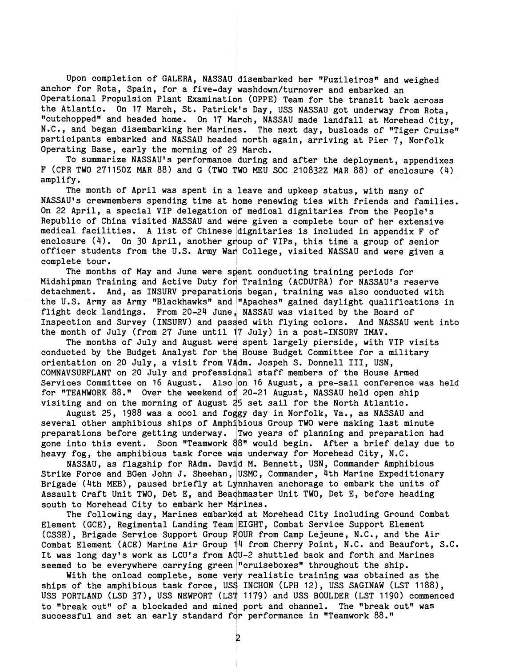Upon completion of GALERA, NASSAU disembarked her "Fuzileiros" and weighed anchor for Rota, Spain, for a five-day washdown/turnover and embarked an Operational Propulsion Plant Examination (OPPE) Team for the transit back across the Atlantic. On 17 March, St. Patrick's Day, USS NASSAU got underway from Rota. "outchopped" and headed home. On 17 March, NASSAU made landfall at Morehead City, N.C., and began disembarking her Marines. The next day, busloads of "Tiger Cruise" participants embarked and NASSAU headed north again, arriving at Pier 7, Norfolk Operating Base, early the morning of 29 March.

To summarize NASSAU'S performance during and after the deployment, appendixes F(CPR TWO 271150Z MAR 88)and G(TWO TWO MEU SOC 210832Z MAR 88)of enclosure(4) amplify.

The month of April was spent in a leave and upkeep status, with many of NASSAU's crewmembers spending time at home renewing ties with friends and families. On 22 April, a special VIP delegation of medical dignitaries from the People's Republic of China visited NASSAU and were given a complete tour of her extensive medical facilities. A list of Chinese dignitaries is included in appendix F of enclosure (4). On 30 April, another group of VIPs, this time a group of senior officer students from the U.S. Army War College, visited NASSAU and were given a complete tour.

The months of May and June were spent conducting training periods for Midshipman Training and Active Duty for Training (ACDUTRA) for NASSAU's reserve detachment. And, as INSURV preparations began, training was also conducted with the U.S. Army as Army "Blackhawks" and "Apaches" gained daylight qualifications in flight deck landings. From 20-24 June, NASSAU was visited by the Board of Inspection and Survey (INSURV) and passed with flying colors. And NASSAU went into the month of July (from 27 June until 17 July) in a post-INSURV IMAV.

The months of July and August were spent largely pierside, with VIP visits conducted by the Budget Analyst for the House Budget Committee for a military orientation on 20 July, a visit from VAdm. Jospeh S. Donne11 111, USN, COMNAVSURFLANT on 20 July and professidnal staff members of the House Armed Services Committee on 16 August. Also on 16 August, a pre-sail conference was held for "TEAMWORK 88." Over the weekend of 20-21 August, NASSAU held open ship visiting and on the morning of August 25 set sail for the North Atlantic.

August 25, 1988 was a cool and foggy day in Norfolk, Va., as NASSAU and several other amphibious ships of Amphibious Group TWO were making last minute preparations before getting underway. Two years of planning and preparation had gone into this event. Soon "Teamwork 48" would begin. After a brief delay due to heavy fog, the amphibious task force wds underway for Morehead City, N.C.

NASSAU, as flagship for RAdm. Dav'd M. Bennett, USN, Commander Amphibious Strike Force and BGen John J. Sheehan, USMC, Commander, 4th Marine Expeditionary Brigade (4th MEB), paused briefly at Lynnhaven anchorage to embark the units of Assault Craft Unit TWO, Det E, and Beachmaster Unit TWO, Det E, before heading south to Morehead City to embark her Marines.<br>The following day, Marines embarked at Morehead City including Ground Combat e Force and BGen John J. Sheehan, USMC, Commander, 4th Marine Expeditionary<br>de (4th MEB), paused briefly at Lynnhaven anchorage to embark the units of<br>lt Craft Unit TWO, Det E, and Beachmaster Unit TWO, Det E, before headi

Element (GCE), Regimental Landing Team EIGHT, Combat Service Support Element (CSSE), Brigade Service Support Group FOUR from Camp Lejeune, N.C., and the Air Combat Element (ACE) Marine Air Group 14 from Cherry Point, N.C. and Beaufort, S.C. It was long day's work as LCU's from ACU-2 shuttled back and forth and Marines seemed to be everywhere carrying green "cruiseboxes" throughout the ship.

With the onload complete, some very realistic training was obtained as the ships of the amphibious task force, USS INCHON (LPH 12), USS SAGINAW (LST 1188), USS PORTLAND (LSD 37), USS NEWPORT (LST 1179) and USS BOULDER (LST 1190) commenced to "break out" of a blockaded and mined port and channel. The "break out" was successful and set an early standard for performance in "Teamwork 88."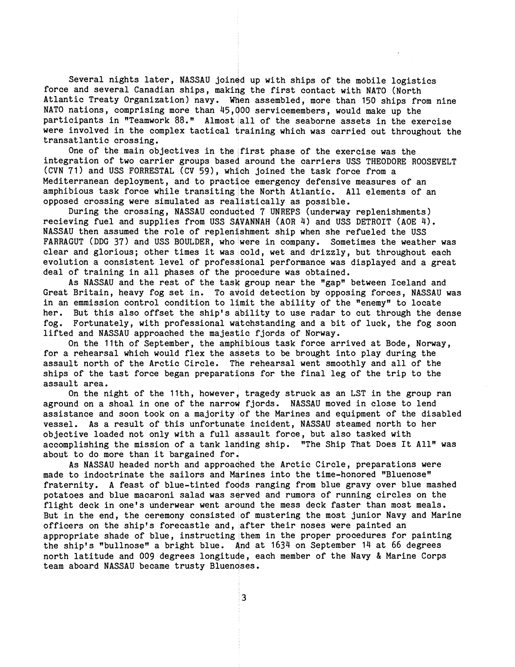Several nights later, NASSAU joined up with ships of the mobile logistics force and several Canadian ships, making the first contact with NATO (North Atlantic Treaty Organization) navy. When assembled, more than 150 ships from nine NATO nations, comprising more than  $45,000$  servicemembers, would make up the participants in "Teamwork 88." Almost all of the seaborne assets in the exercise were involved in the complex tactical training which was carried out throughout the transatlantic crossing.

One of the main objectives in the first phase of the exercise was the integration of two carrier groups based around the carriers USS THEODORE ROOSEVELT (CVN 71) and USS FORRESTAL (CV 59), which joined the task force from a Mediterranean deployment, and to practice emergency defensive measures of an amphibious task force while transiting the North Atlantic. All elements of an opposed crossing were simulated as realistically as possible.

During the crossing, NASSAU conducted 7 UNREPS (underway replenishments) recieving fuel and supplies from USS SAVANNAH (AOR 4) and USS DETROIT (AOE 4). NASSAU then assumed the role of replenishment ship when she refueled the USS FARRAGUT (DDG 37) and USS BOULDER, who were in company. Sometimes the weather was clear and glorious; other times it was cold, wet and drizzly, but throughout each evolution a consistent level of profes ional performance was displayed and a great deal of training in all phases of the procedure was obtained.

As NASSAU and the rest of the task group near the "gap" between Iceland and Great Britain, heavy fog set in. To avoid detection by opposing forces, NASSAU was in an emmission control condition to limit the ability of the "enemy" to locate her. But this also offset the ship's dbility to use radar to cut through the dense fog. Fortunately, with professional watchstanding and a bit of luck, the fog soon lifted and NASSAU approached the majestlic fjords of Norway.

On the 11th of September, the amphibious task force arrived at Bode, Norway, for a rehearsal which would flex the assets to be brought into play during the assault north of the Arctic Circle. The rehearsal went smoothly and all of the ships of the tast force began preparations for the final leg of the trip to the expect the control of the trip to the assault area.

On the night of the Ilth, however, tragedy struck as an LST in the group ran aground on a shoal in one of the narrow fjords. NASSAU moved in close to lend assistance and soon took on a majority of the Marines and equipment of the disabled vessel. As a result of this unfortunate incident, NASSAU steamed horth to her objective loaded not only with a full assault force, but also tasked with accomplishing the mission of a tank landing ship. "The Ship That Does It All" was about to do more than it bargained for.

As NASSAU headed north and approadhed the Arctic Circle, preparations were made to indoctrinate the sailors and Marines into the time-honored "Bluenose" fraternity. A feast of blue-tinted foods ranging from blue gravy over blue mashed potatoes and blue macaroni salad was served and rumors of running circles on the flight deck in one's underwear went around the mess deck faster than most meals. But in the end, the ceremony consisted of mustering the most junior Navy and Marine officers on the ship's forecastle and, after their noses were painted an appropriate shade of blue, instructing them in the proper procedures for painting the ship's "bullnose" a bright blue. And at  $1634$  on September 14 at 66 degrees north latitude and 009 degrees longitude, each member of the Navy & Marine Corps team aboard NASSAU became trusty Bluenoses.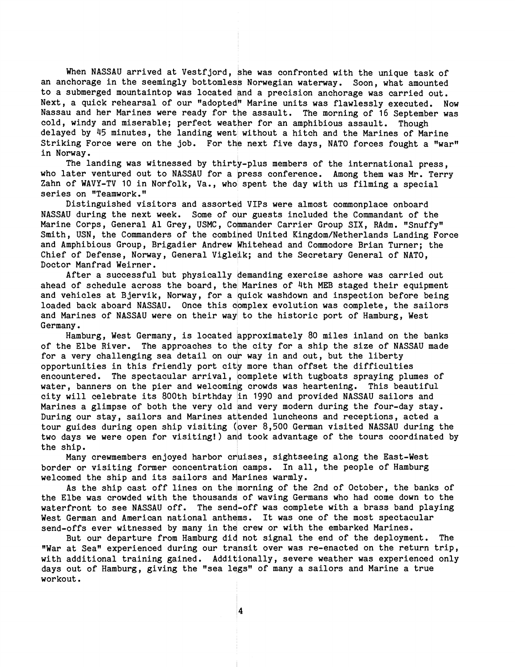When NASSAU arrived at Vestfjord, she was confronted with the unique task of an anchorage in the seemingly bottomless Norwegian waterway. Soon, what amounted to a submerged mountaintop was located and a precision anchorage was carried out. Next, a quick rehearsal of our "adopted" Marine units was flawlessly executed. Now Nassau and her Marines were ready for the assault. The morning of 16 September was cold, windy and miserable; perfect weather for an amphibious assault. Though delayed by 45 minutes, the landing went without a hitch and the Marines of Marine Striking Force were on the job. For the next five days, NATO forces fought a "war" in Norway.

The landing was witnessed by thirty-plus members of the international press, who later ventured out to NASSAU for a press conference. Among them was Mr. Terry Zahn of WAVY-TV 10 in Norfolk, Va., who spent the day with us filming a special series on "Teamwork."

Distinguished visitors and assorted VIPs were almost commonplace onboard NASSAU during the next week. Some of our guests included the Commandant of the Marine Corps, General Al Grey, USMC, Commander Carrier Group SIX, RAdm. "Snuffy" Smith, USN, the Commanders of the combined United Kingdom/Netherlands Landing Force and Amphibious Group, Brigadier Andrew Whitehead and Commodore Brian Turner; the Chief of Defense, Norway, General Vigleik; and the Secretary General of NATO, Doctor Manfrad Weirner.

After a successful but physically demanding exercise ashore was carried out ahead of schedule across the board, the Marines of 4th MEB staged their equipment and vehicles at Bjervik, Norway, for a quick washdown and inspection before being loaded back aboard NASSAU. Once this complex evolution was complete, the sailors and Marines of NASSAU were on their way to the historic port of Hamburg, West Germany.

Hamburg, West Germany, is located approximately 80 miles inland on the banks of the Elbe River. The approaches to the city for a ship the size of NASSAU made for a very challenging sea detail on our way in and out, but the liberty opportunities in this friendly port city more than offset the difficulties encountered. The spectacular arrival, complete with tugboats spraying plumes of water, banners on the pier and welcoming crowds was heartening. This beautiful city will celebrate its 800th birthday in 1990 and provided NASSAU sailors and Marines a glimpse of both the very old and very modern during the four-day stay. During our stay, sailors and Marines attended luncheons and receptions, acted a tour guides during open ship visiting (over 8,500 German visited NASSAU during the two days we were open for visiting!) and took advantage of the tours coordinated by the ship.

Many crewmembers enjoyed harbor cruises, sightseeing along the East-West border or visiting former concentration camps. In all, the people of Hamburg welcomed the ship and its sailors and Marines warmly.

As the ship cast off lines on the morning of the 2nd of October, the banks of the Elbe was crowded with the thousands of waving Germans who had come down to the waterfront to see NASSAU off. The send-off was complete with a brass band playing West German and American national anthems. It was one of the most spectacular send-offs ever witnessed by many in the crew or with the embarked Marines.

But our departure from Hamburg did not signal the end of the deployment. The "War at Sea" experienced during our transit over was re-enacted on the return trip, with additional training gained. Additionally, severe weather was experienced only days out of Hamburg, giving the "sea legs" of many a sailors and Marine a true workout.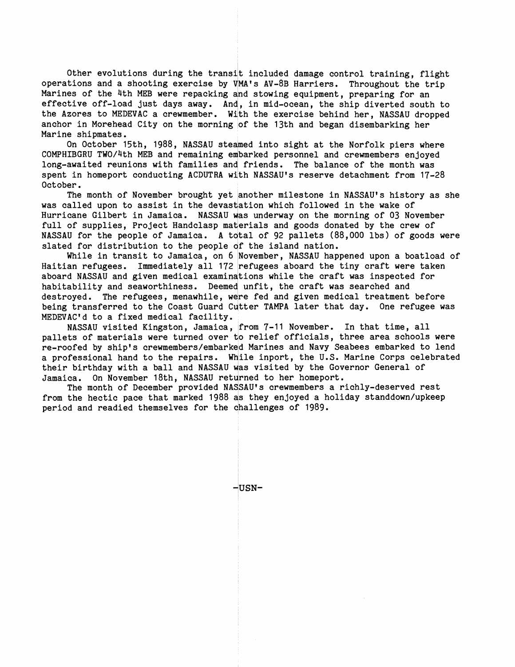Other evolutions during the transit included damage control training, flight operations and a shooting exercise by VMA's AV-8B Harriers. Throughout the trip with the strip and the strip with  $\lambda$ Marines of the 4th MEB were repacking and stowing equipment, preparing for an effective off-load just days away. And, in mid-ocean, the ship diverted south to the Azores to MEDEVAC a crewmember. With the exercise behind her, NASSAU dropped anchor in Morehead City on the morning of the 13th and began disembarking her Marine shipmates.

On October 15th, 1988, NASSAU steamed into sight at the Norfolk piers where<br>IBGRU TWO/4th MEB and remaining embarked personnel and crewmembers enjoyed<br>awaited reunions with families and friends. The balance of the month wa COMPHIBGRU TWO/4th MEB and remaining embarked personnel and crewmembers enjoyed long-awaited reunions with families and friends. The balance of the month was October. spent in homeport conducting ACDUTRA wilth NASSAU'S reserve detachment from 17-28

The month of November brought yet another milestone in NASSAU'S history as she was called upon to assist in the devastation which followed in the wake of Hurricane Gilbert in Jamaica. NASSAU was underway on the morning of 03 November full of supplies, Project Handclasp materials and goods donated by the crew of NASSAU for the people of Jamaica. A total of 92 pallets (88,000 lbs) of goods were slated for distribution to the people of the island nation.

While in transit to Jamaica, on 6 November, NASSAU happened upon a boatload of Haitian refugees. Immediately all 172 refugees aboard the tiny craft were taken aboard NASSAU and given medical examinations while the craft was inspected for habitability and seaworthiness. Deemed unfit, the craft was searched and destroyed. The refugees, menawhile, were fed and given medical treatment before MEDEVAC'd to a fixed medical facility. being transferred to the Coast Guard Cutter TAMPA later that day. One refugee was

NASSAU visited Kingston, Jamaica, from 7-11 November. In that time, all pallets of materials were turned over to relief officials, three area schools were re-roofed by ship's crewmembers/embarked Marines and Navy Seabees embarked to lend a professional hand to the repairs. While inport, the U.S. Marine Corps celebrated their birthday with a ball and NASSAU was visited by the Governor General of Jamaica. On November 18th, NASSAU returned to her homeport.

The month of December provided NASSAU'S crewmembers a richly-deserved rest from the hectic pace that marked 1988 as they enjoyed a holiday standdown/upkeep period and readied themselves for the challenges of 1989.

 $-USN-$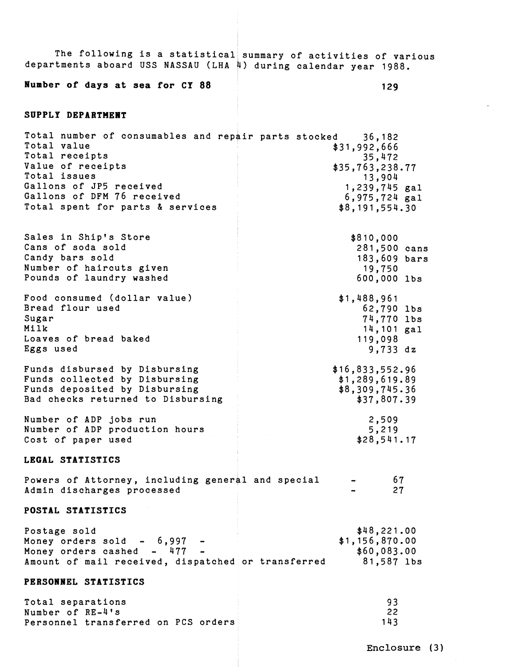| departments aboard USS NASSAU (LHA 4) during calendar year 1988.                                                                                                                                                               | The following is a statistical summary of activities of various                                         |
|--------------------------------------------------------------------------------------------------------------------------------------------------------------------------------------------------------------------------------|---------------------------------------------------------------------------------------------------------|
| Number of days at sea for CY 88                                                                                                                                                                                                | 129                                                                                                     |
| SUPPLY DEPARTMENT                                                                                                                                                                                                              |                                                                                                         |
| Total number of consumables and repair parts stocked 36,182<br>Total value<br>Total receipts<br>Value of receipts<br>Total issues<br>Gallons of JP5 received<br>Gallons of DFM 76 received<br>Total spent for parts & services | \$31,992,666<br>35,472<br>\$35,763,238.77<br>13,904<br>1,239,745 gal<br>6,975,724 gal<br>\$8,191,554.30 |
| Sales in Ship's Store                                                                                                                                                                                                          | \$810,000                                                                                               |
| Cans of soda sold                                                                                                                                                                                                              | 281,500 cans                                                                                            |
| Candy bars sold                                                                                                                                                                                                                | 183,609 bars                                                                                            |
| Number of haircuts given                                                                                                                                                                                                       | 19,750                                                                                                  |
| Pounds of laundry washed                                                                                                                                                                                                       | 600,000 lbs                                                                                             |
| Food consumed (dollar value)                                                                                                                                                                                                   | \$1,488,961                                                                                             |
| Bread flour used                                                                                                                                                                                                               | 62,790 lbs                                                                                              |
| Sugar                                                                                                                                                                                                                          | 74,770 lbs                                                                                              |
| Milk                                                                                                                                                                                                                           | 14,101 gal                                                                                              |
| Loaves of bread baked                                                                                                                                                                                                          | 119,098                                                                                                 |
| Eggs used                                                                                                                                                                                                                      | $9,733$ dz                                                                                              |
| Funds disbursed by Disbursing                                                                                                                                                                                                  | \$16,833,552.96                                                                                         |
| Funds collected by Disbursing                                                                                                                                                                                                  | \$1,289,619.89                                                                                          |
| Funds deposited by Disbursing                                                                                                                                                                                                  | \$8,309,745.36                                                                                          |
| Bad checks returned to Disbursing                                                                                                                                                                                              | \$37,807.39                                                                                             |
| Number of ADP jobs run                                                                                                                                                                                                         | 2,509                                                                                                   |
| Number of ADP production hours                                                                                                                                                                                                 | 5,219                                                                                                   |
| Cost of paper used                                                                                                                                                                                                             | \$28,541.17                                                                                             |
| LEGAL STATISTICS                                                                                                                                                                                                               |                                                                                                         |
| Powers of Attorney, including general and special                                                                                                                                                                              | 67                                                                                                      |
| Admin discharges processed                                                                                                                                                                                                     | 27                                                                                                      |
| POSTAL STATISTICS                                                                                                                                                                                                              |                                                                                                         |
| Postage sold                                                                                                                                                                                                                   | \$48,221.00                                                                                             |
| Money orders sold $-6,997$ -                                                                                                                                                                                                   | \$1,156,870.00                                                                                          |
| Money orders cashed - 477 -                                                                                                                                                                                                    | \$60,083.00                                                                                             |
| Amount of mail received, dispatched or transferred                                                                                                                                                                             | 81,587 lbs                                                                                              |
| PERSONNEL STATISTICS                                                                                                                                                                                                           |                                                                                                         |
| Total separations                                                                                                                                                                                                              | 93                                                                                                      |
| Number of RE-4's                                                                                                                                                                                                               | 22                                                                                                      |
| Personnel transferred on PCS orders                                                                                                                                                                                            | 143                                                                                                     |

**Enclosure (3)**